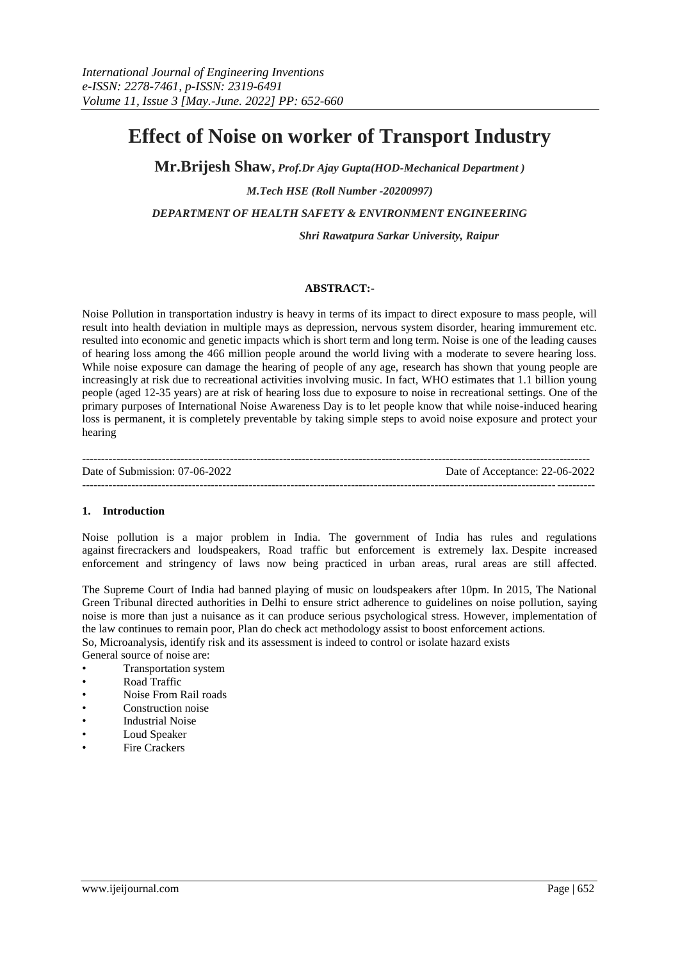# **Effect of Noise on worker of Transport Industry**

**Mr.Brijesh Shaw,** *Prof.Dr Ajay Gupta(HOD-Mechanical Department ) M.Tech HSE (Roll Number -20200997) DEPARTMENT OF HEALTH SAFETY & ENVIRONMENT ENGINEERING*

*Shri Rawatpura Sarkar University, Raipur*

#### **ABSTRACT:-**

Noise Pollution in transportation industry is heavy in terms of its impact to direct exposure to mass people, will result into health deviation in multiple mays as depression, nervous system disorder, hearing immurement etc. resulted into economic and genetic impacts which is short term and long term. Noise is one of the leading causes of hearing loss among the 466 million people around the world living with a moderate to severe hearing loss. While noise exposure can damage the hearing of people of any age, research has shown that young people are increasingly at risk due to recreational activities involving music. In fact, WHO estimates that 1.1 billion young people (aged 12-35 years) are at risk of hearing loss due to exposure to noise in recreational settings. One of the primary purposes of International Noise Awareness Day is to let people know that while noise-induced hearing loss is permanent, it is completely preventable by taking simple steps to avoid noise exposure and protect your hearing

| Date of Submission: 07-06-2022 | Date of Acceptance: 22-06-2022 |
|--------------------------------|--------------------------------|
|                                |                                |

#### **1. Introduction**

Noise pollution is a major problem in India. The government of India has rules and regulations against firecrackers and loudspeakers, Road traffic but enforcement is extremely lax. Despite increased enforcement and stringency of laws now being practiced in urban areas, rural areas are still affected.

The Supreme Court of India had banned playing of music on loudspeakers after 10pm. In 2015, The National Green Tribunal directed authorities in Delhi to ensure strict adherence to guidelines on noise pollution, saying noise is more than just a nuisance as it can produce serious psychological stress. However, implementation of the law continues to remain poor, Plan do check act methodology assist to boost enforcement actions. So, Microanalysis, identify risk and its assessment is indeed to control or isolate hazard exists General source of noise are:

- Transportation system
- Road Traffic
- Noise From Rail roads
- Construction noise
- Industrial Noise
- Loud Speaker
- **Fire Crackers**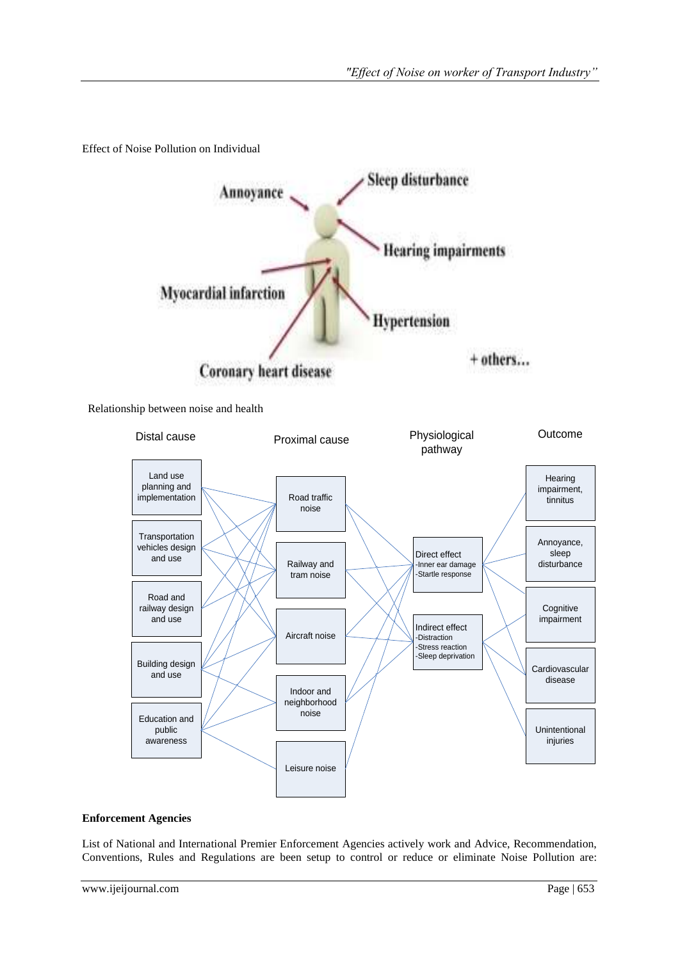Effect of Noise Pollution on Individual



Relationship between noise and health



# **Enforcement Agencies**

List of National and International Premier Enforcement Agencies actively work and Advice, Recommendation, Conventions, Rules and Regulations are been setup to control or reduce or eliminate Noise Pollution are: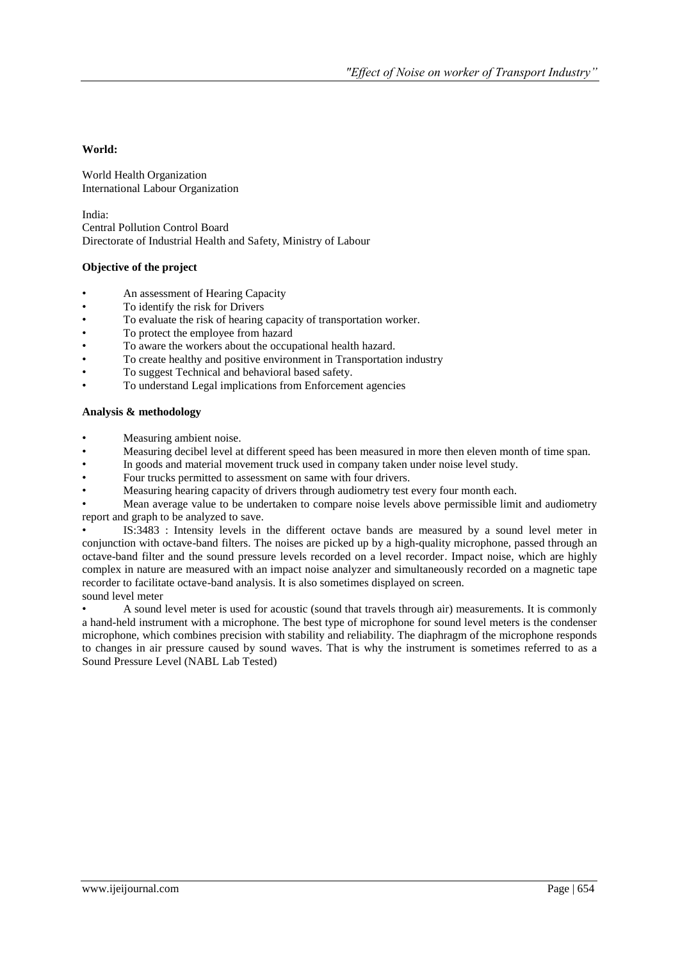# **World:**

World Health Organization International Labour Organization

India: Central Pollution Control Board Directorate of Industrial Health and Safety, Ministry of Labour

# **Objective of the project**

- An assessment of Hearing Capacity
- To identify the risk for Drivers
- To evaluate the risk of hearing capacity of transportation worker.
- To protect the employee from hazard
- To aware the workers about the occupational health hazard.
- To create healthy and positive environment in Transportation industry
- To suggest Technical and behavioral based safety.
- To understand Legal implications from Enforcement agencies

#### **Analysis & methodology**

- Measuring ambient noise.
- Measuring decibel level at different speed has been measured in more then eleven month of time span.
- In goods and material movement truck used in company taken under noise level study.
- Four trucks permitted to assessment on same with four drivers.
- Measuring hearing capacity of drivers through audiometry test every four month each.

• Mean average value to be undertaken to compare noise levels above permissible limit and audiometry report and graph to be analyzed to save.

• IS:3483 : Intensity levels in the different octave bands are measured by a sound level meter in conjunction with octave-band filters. The noises are picked up by a high-quality microphone, passed through an octave-band filter and the sound pressure levels recorded on a level recorder. Impact noise, which are highly complex in nature are measured with an impact noise analyzer and simultaneously recorded on a magnetic tape recorder to facilitate octave-band analysis. It is also sometimes displayed on screen. sound level meter

• A sound level meter is used for acoustic (sound that travels through air) measurements. It is commonly a hand-held instrument with a microphone. The best type of microphone for sound level meters is the condenser microphone, which combines precision with stability and reliability. The diaphragm of the microphone responds to changes in air pressure caused by sound waves. That is why the instrument is sometimes referred to as a Sound Pressure Level (NABL Lab Tested)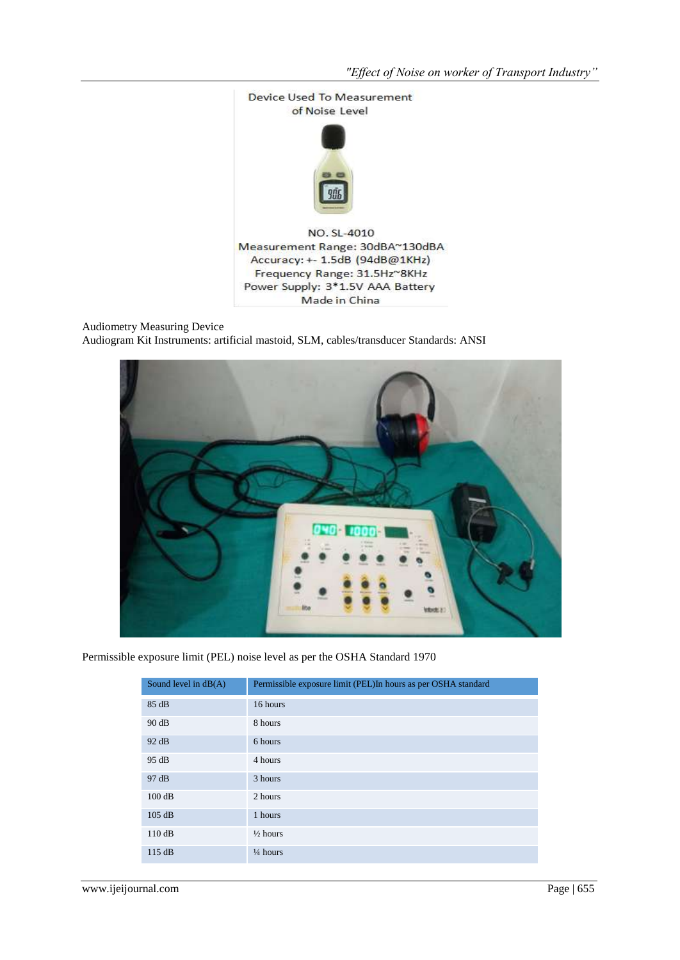

Audiometry Measuring Device Audiogram Kit Instruments: artificial mastoid, SLM, cables/transducer Standards: ANSI



Permissible exposure limit (PEL) noise level as per the OSHA Standard 1970

| Sound level in $dB(A)$ | Permissible exposure limit (PEL)In hours as per OSHA standard |
|------------------------|---------------------------------------------------------------|
| 85 dB                  | 16 hours                                                      |
| 90 dB                  | 8 hours                                                       |
| 92 dB                  | 6 hours                                                       |
| 95 dB                  | 4 hours                                                       |
| 97 dB                  | 3 hours                                                       |
| 100dB                  | 2 hours                                                       |
| 105 dB                 | 1 hours                                                       |
| 110dB                  | $\frac{1}{2}$ hours                                           |
| 115 dB                 | $\frac{1}{4}$ hours                                           |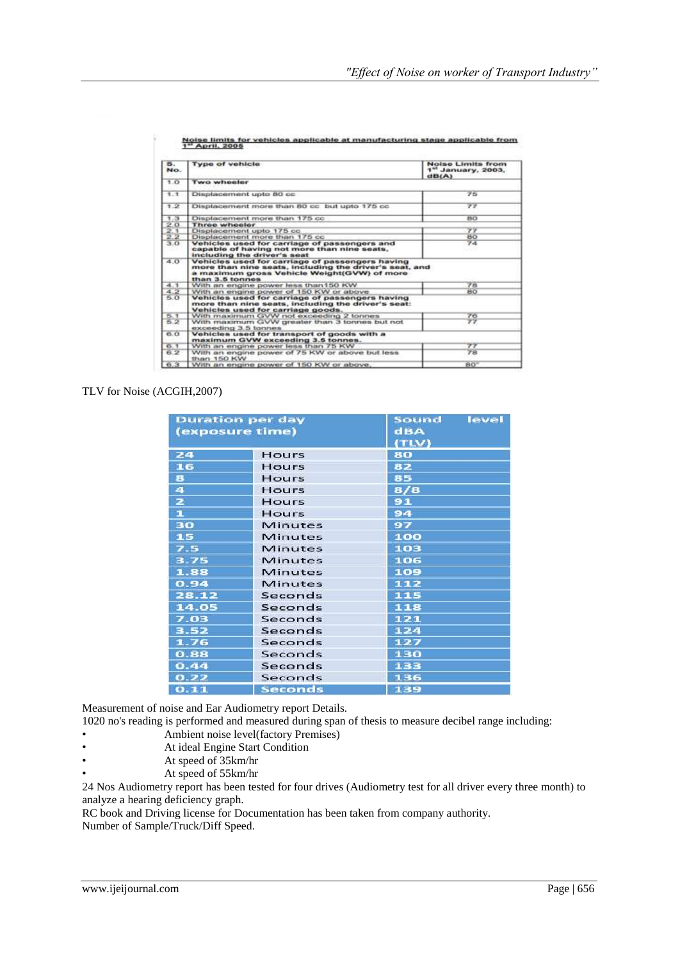| 8.<br>No.        | <b>Type of vehicle</b>                                                                                                                                                      | Noise Limits from<br>1 <sup>st</sup> January, 2003.<br>dB(A) |
|------------------|-----------------------------------------------------------------------------------------------------------------------------------------------------------------------------|--------------------------------------------------------------|
| 1.0              | <b>Two wheeler</b>                                                                                                                                                          |                                                              |
| 1.1              | Displacement upto 80 cc                                                                                                                                                     | アド                                                           |
| 1.2              | Displacement more than 50 cc but upto 175 cc                                                                                                                                | ファ                                                           |
| 1.3              | Displacement more than 175 cc.                                                                                                                                              | <b>BO</b>                                                    |
|                  | <b>Three wheeler</b>                                                                                                                                                        |                                                              |
| $\frac{20}{2.1}$ | Displacement upto 175 cc.                                                                                                                                                   | 77                                                           |
| 2.2              | Displacement more than 175 cc.                                                                                                                                              | BO <sub>3</sub>                                              |
| 3.0              | Vehicles used for carriage of passengers and<br>capable of having not more than nine seats.<br>including the driver's seat                                                  | 74                                                           |
| 40               | Vehicles used for carriage of passengers having<br>more than nine seats, including the driver's seat, and<br>a maximum gross Vehicle Weight(GVW) of more<br>than 3.5 tonnes |                                                              |
| 4.1              | With an engine power less than 150 KW.                                                                                                                                      | ア市                                                           |
| 4.2              | With an engine power of 150 KW or above                                                                                                                                     | 80                                                           |
| 5.0              | Vehicles used for carriage of passengers having<br>more than nine seats, including the driver's seat:<br>Vehicles used for carriage goods.                                  |                                                              |
| 5.1              | With maximum GVW not exceeding 2 tonnes                                                                                                                                     | 76                                                           |
| 5.2              | With maximum GVW greater than 3 tonnes but not<br>exceeding 3.5 tonnes.                                                                                                     | $\overline{\tau}\overline{\tau}$                             |
| 6.0              | Vehicles used for transport of goods with a<br>maximum GVW exceeding 3.5 tonnes.                                                                                            |                                                              |
| 6.1              | With an engine power less than 75 KW                                                                                                                                        | アア                                                           |
| 6.2              | With an engine power of 75 KW or above but less<br>than 150 KW                                                                                                              | 78                                                           |
|                  |                                                                                                                                                                             |                                                              |

st manufacturing stage applicable from se limits !<br>April, 200

#### TLV for Noise (ACGIH,2007)

| (exposure time)         | <b>Duration per day</b> | level<br>Sound<br>dBA<br>(TLV) |  |  |  |  |  |
|-------------------------|-------------------------|--------------------------------|--|--|--|--|--|
| 24                      | Hours                   | 80                             |  |  |  |  |  |
| 16                      | Hours                   | 82                             |  |  |  |  |  |
| 8                       | Hours                   | 85                             |  |  |  |  |  |
| $\overline{\mathbf{a}}$ | Hours                   | 8/8                            |  |  |  |  |  |
| z                       | Hours                   | 91                             |  |  |  |  |  |
| $\mathbf{1}$            | Hours                   | 94                             |  |  |  |  |  |
| 30                      | <b>Minutes</b>          | 97                             |  |  |  |  |  |
| 15                      | Minutes                 | 100                            |  |  |  |  |  |
| 7.5                     | Minutes                 | 103                            |  |  |  |  |  |
| 3.75                    | <b>Minutes</b>          | 106                            |  |  |  |  |  |
| 1.88                    | <b>Minutes</b>          | 109                            |  |  |  |  |  |
| 0.94                    | Minutes                 | 112                            |  |  |  |  |  |
| 28.12                   | Seconds                 | 115                            |  |  |  |  |  |
| 14.05                   | Seconds                 | 118                            |  |  |  |  |  |
| 7.03                    | Seconds                 | 121                            |  |  |  |  |  |
| 3.52                    | Seconds                 | 124                            |  |  |  |  |  |
| 1.76                    | Seconds                 | 127                            |  |  |  |  |  |
| 0.88                    | Seconds                 | 130                            |  |  |  |  |  |
| 0.44                    | Seconds                 | 133                            |  |  |  |  |  |
| 0.22                    | Seconds                 | 136                            |  |  |  |  |  |
| 0.11                    | <b>Seconds</b>          | 139                            |  |  |  |  |  |

Measurement of noise and Ear Audiometry report Details.

1020 no's reading is performed and measured during span of thesis to measure decibel range including: • Ambient noise level(factory Premises)

- At ideal Engine Start Condition
- At speed of 35km/hr
- At speed of 55km/hr

24 Nos Audiometry report has been tested for four drives (Audiometry test for all driver every three month) to analyze a hearing deficiency graph.

RC book and Driving license for Documentation has been taken from company authority.

Number of Sample/Truck/Diff Speed.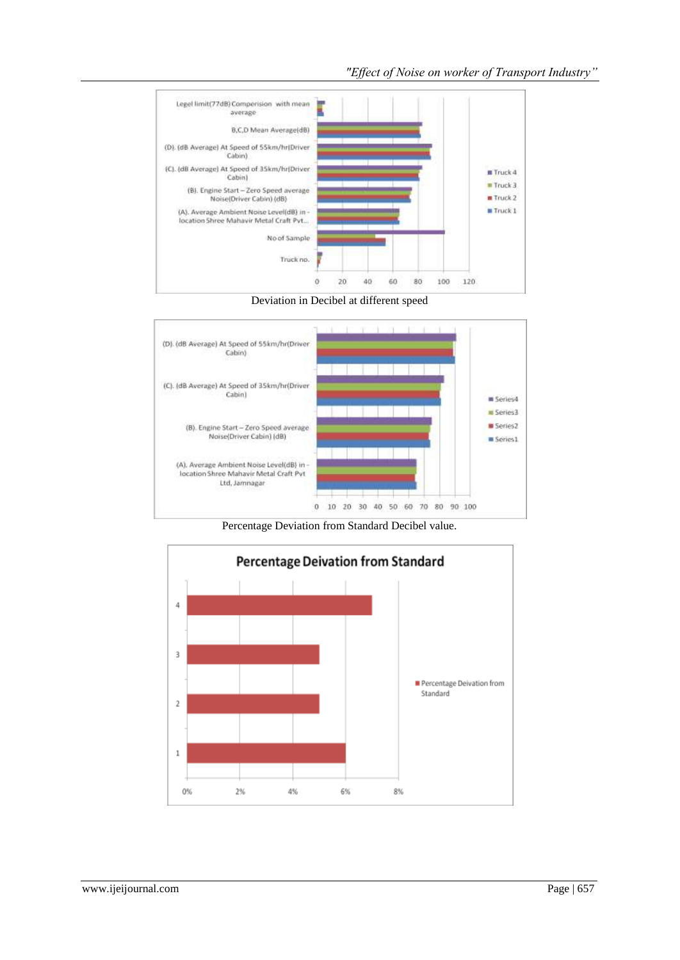





Percentage Deviation from Standard Decibel value.

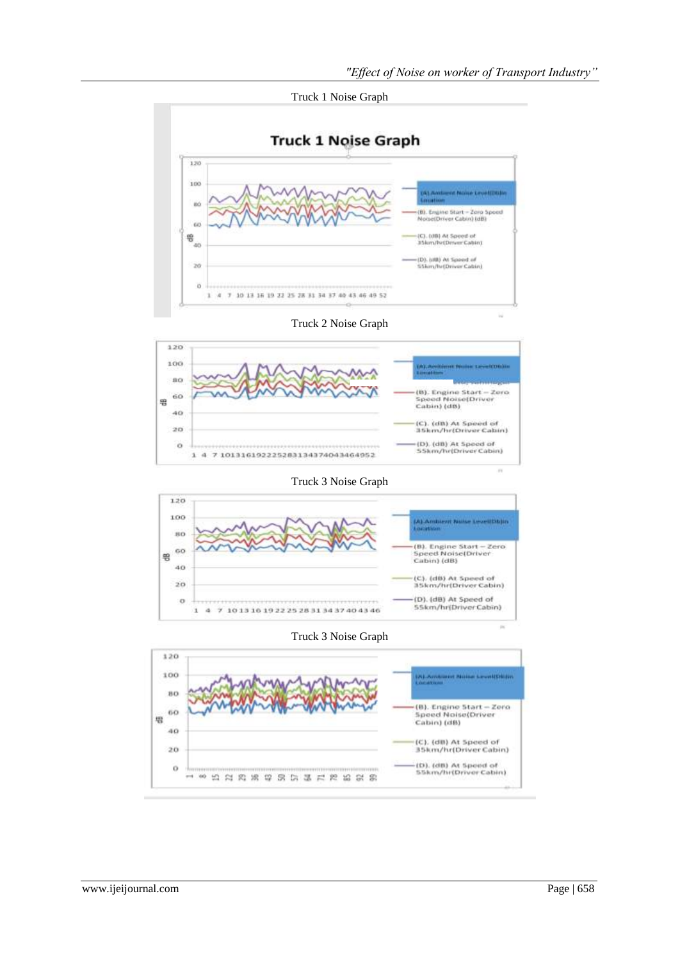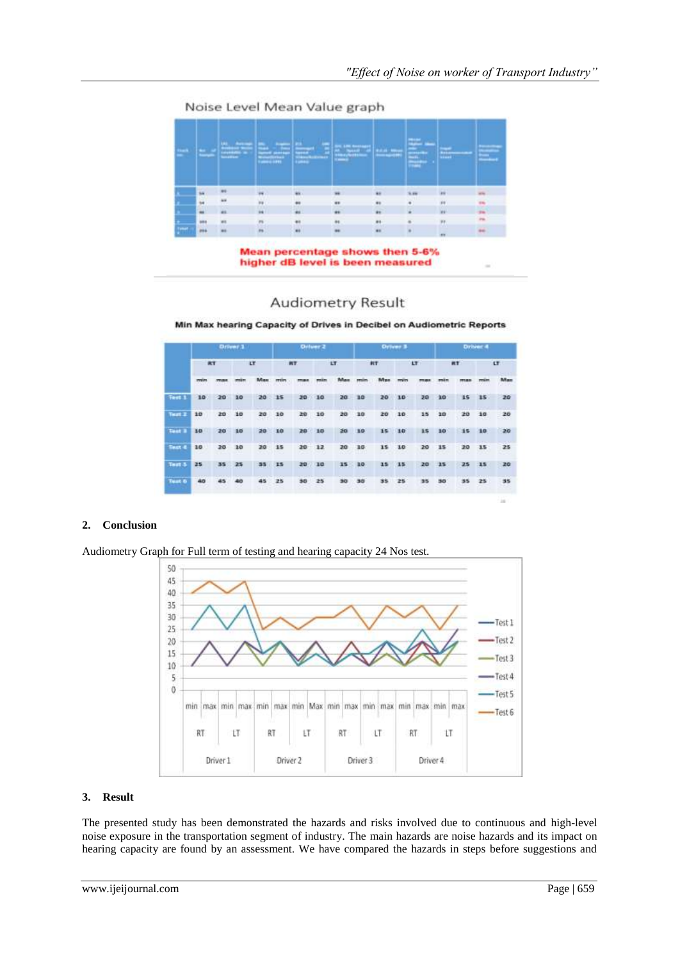Noise Level Mean Value graph

|                          |               | سبب            | <b>Service Stations</b><br><b>Territory</b> |           | ___<br><b>Change of Congress</b> | <b>Contract Contract</b> | E.            | π,              |     |  |
|--------------------------|---------------|----------------|---------------------------------------------|-----------|----------------------------------|--------------------------|---------------|-----------------|-----|--|
|                          | <b>SH</b>     | $\frac{1}{2}$  |                                             | <b>AS</b> |                                  | $\cdots$                 |               |                 |     |  |
|                          | $^{34}$       | ×              | m                                           | Ħ         | $\bullet$                        | $\bullet$                |               | is              | -   |  |
|                          | $\rightarrow$ | as.            | is.                                         | in.       | $\bullet$                        | $\bullet$                |               | iri             | 94  |  |
|                          | <b>MAY</b>    | m              | $\overline{m}$                              | ¥4        | $\frac{1}{2}$                    |                          | ÷             | υ.              | $-$ |  |
| $\overline{\phantom{a}}$ | ess.          | $\blacksquare$ | m                                           | 44        |                                  | $\bullet$                | $\frac{1}{2}$ | <b>ALCOHOL:</b> | si. |  |

Mean percentage shows then 5-6% higher dB level is been measured

# **Audiometry Result**

Min Max hearing Capacity of Drives in Decibel on Audiometric Reports

|               |                        |    | Driver 1 |                    | Driver 2  |    |           |                            | <b>Driver 3</b>       |              |        |                   | Driver 4  |            |              |    |
|---------------|------------------------|----|----------|--------------------|-----------|----|-----------|----------------------------|-----------------------|--------------|--------|-------------------|-----------|------------|--------------|----|
|               | RT                     |    | cr       |                    | <b>RT</b> |    | <b>LT</b> |                            | <b>RT</b>             |              | 17     |                   | <b>AT</b> |            | LT.          |    |
|               | <b>ITEM</b>            | .  |          |                    |           |    |           |                            |                       | - - -        | 11 O.O | <b>STATISTICS</b> | $\sim$    | <b>YOU</b> | <b>WEBST</b> |    |
| Test 1        | 10                     | 20 | 10       | 20                 | 15        | 30 | 10        | 20                         | 30                    | 20           | 10     | 20                | 30        | 15         | 15           | 20 |
| Test 2        | 10                     | 20 | 10       | 20                 | 10        | 20 | 10        | <b>A 19 (2)</b><br>20<br>œ | 10<br><b>ANTICATE</b> | 20<br>$\sim$ | 10     | 15                | 10        | 20         | 10           | 20 |
| Test 1        | 30                     | 20 | 10       | 20                 | 10        | 20 | 10        | 20                         | 10                    | 15           | 10     | 15                | 10        | 35         | 10           | 20 |
| <b>Test 4</b> | 10                     | 20 | 10       | 20                 | 15        | 20 | 12        | 20<br><b>1955</b>          | 10                    | 15           | 10     | 20                | 15        | 20         | 15           | 25 |
| Test 5        | 25                     | 35 | 25       | 35                 | 15        | 20 | 10        | 15                         | 10                    | 15           | 15     | 20                | 15        | 25         | 15           | 20 |
| <b>Test 6</b> | <b>CALL 2012</b><br>40 | 45 | 40       | 45<br><b>NACHO</b> | 25        | 30 | 25        | 90                         | 30                    | 35           | 25     | 35                | 50        | 35         | 25           | 35 |
|               |                        |    |          |                    |           |    |           |                            |                       |              |        |                   |           |            |              |    |

# **2. Conclusion**

Audiometry Graph for Full term of testing and hearing capacity 24 Nos test.



#### **3. Result**

The presented study has been demonstrated the hazards and risks involved due to continuous and high-level noise exposure in the transportation segment of industry. The main hazards are noise hazards and its impact on hearing capacity are found by an assessment. We have compared the hazards in steps before suggestions and